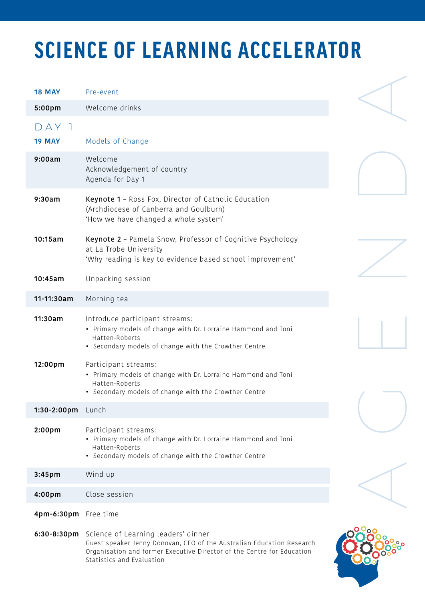## **SCIENCE OF LEARNING ACCELERATOR**

| <b>18 MAY</b>        | Pre-event                                                                                                                                                                                                                       |  |
|----------------------|---------------------------------------------------------------------------------------------------------------------------------------------------------------------------------------------------------------------------------|--|
| 5:00pm               | Welcome drinks                                                                                                                                                                                                                  |  |
| DAY<br><b>19 MAY</b> | Models of Change                                                                                                                                                                                                                |  |
| 9:00am               | Welcome<br>Acknowledgement of country<br>Agenda for Day 1                                                                                                                                                                       |  |
| 9:30am               | Keynote 1 - Ross Fox, Director of Catholic Education<br>(Archdiocese of Canberra and Goulburn)<br>'How we have changed a whole system'                                                                                          |  |
| 10:15am              | Keynote 2 - Pamela Snow, Professor of Cognitive Psychology<br>at La Trobe University<br>'Why reading is key to evidence based school improvement'                                                                               |  |
| 10:45am              | Unpacking session                                                                                                                                                                                                               |  |
| 11-11:30am           | Morning tea                                                                                                                                                                                                                     |  |
| 11:30am              | Introduce participant streams:<br>• Primary models of change with Dr. Lorraine Hammond and Toni<br>Hatten-Roberts<br>• Secondary models of change with the Crowther Centre                                                      |  |
| 12:00pm              | Participant streams:<br>• Primary models of change with Dr. Lorraine Hammond and Toni<br>Hatten-Roberts<br>• Secondary models of change with the Crowther Centre                                                                |  |
| 1:30-2:00pm          | Lunch                                                                                                                                                                                                                           |  |
| 2:00pm               | Participant streams:<br>• Primary models of change with Dr. Lorraine Hammond and Toni<br>Hatten-Roberts<br>• Secondary models of change with the Crowther Centre                                                                |  |
| 3:45 <sub>pm</sub>   | Wind up                                                                                                                                                                                                                         |  |
| 4:00pm               | Close session                                                                                                                                                                                                                   |  |
| 4pm-6:30pm           | Free time                                                                                                                                                                                                                       |  |
|                      | 6:30-8:30pm Science of Learning leaders' dinner<br>Guest speaker Jenny Donovan, CEO of the Australian Education Research<br>Organisation and former Executive Director of the Centre for Education<br>Statistics and Evaluation |  |